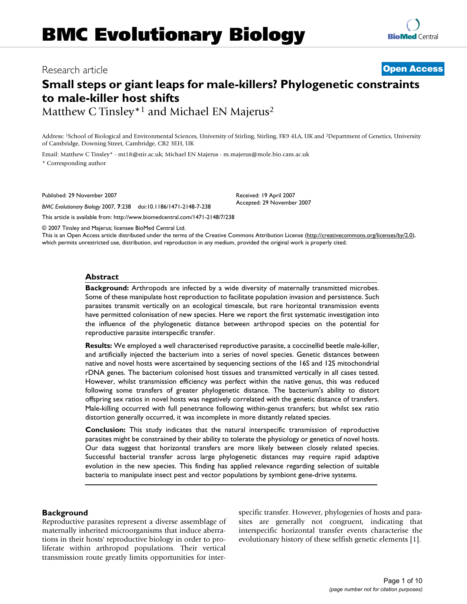# **Small steps or giant leaps for male-killers? Phylogenetic constraints to male-killer host shifts**

Matthew C Tinsley\*<sup>1</sup> and Michael EN Majerus<sup>2</sup>

Address: 1School of Biological and Environmental Sciences, University of Stirling, Stirling, FK9 4LA, UK and 2Department of Genetics, University of Cambridge, Downing Street, Cambridge, CB2 3EH, UK

Email: Matthew C Tinsley\* - mt18@stir.ac.uk; Michael EN Majerus - m.majerus@mole.bio.cam.ac.uk \* Corresponding author

Published: 29 November 2007

*BMC Evolutionary Biology* 2007, **7**:238 doi:10.1186/1471-2148-7-238

[This article is available from: http://www.biomedcentral.com/1471-2148/7/238](http://www.biomedcentral.com/1471-2148/7/238)

© 2007 Tinsley and Majerus; licensee BioMed Central Ltd.

This is an Open Access article distributed under the terms of the Creative Commons Attribution License [\(http://creativecommons.org/licenses/by/2.0\)](http://creativecommons.org/licenses/by/2.0), which permits unrestricted use, distribution, and reproduction in any medium, provided the original work is properly cited.

#### **Abstract**

**Background:** Arthropods are infected by a wide diversity of maternally transmitted microbes. Some of these manipulate host reproduction to facilitate population invasion and persistence. Such parasites transmit vertically on an ecological timescale, but rare horizontal transmission events have permitted colonisation of new species. Here we report the first systematic investigation into the influence of the phylogenetic distance between arthropod species on the potential for reproductive parasite interspecific transfer.

**Results:** We employed a well characterised reproductive parasite, a coccinellid beetle male-killer, and artificially injected the bacterium into a series of novel species. Genetic distances between native and novel hosts were ascertained by sequencing sections of the 16S and 12S mitochondrial rDNA genes. The bacterium colonised host tissues and transmitted vertically in all cases tested. However, whilst transmission efficiency was perfect within the native genus, this was reduced following some transfers of greater phylogenetic distance. The bacterium's ability to distort offspring sex ratios in novel hosts was negatively correlated with the genetic distance of transfers. Male-killing occurred with full penetrance following within-genus transfers; but whilst sex ratio distortion generally occurred, it was incomplete in more distantly related species.

**Conclusion:** This study indicates that the natural interspecific transmission of reproductive parasites might be constrained by their ability to tolerate the physiology or genetics of novel hosts. Our data suggest that horizontal transfers are more likely between closely related species. Successful bacterial transfer across large phylogenetic distances may require rapid adaptive evolution in the new species. This finding has applied relevance regarding selection of suitable bacteria to manipulate insect pest and vector populations by symbiont gene-drive systems.

#### **Background**

Reproductive parasites represent a diverse assemblage of maternally inherited microorganisms that induce aberrations in their hosts' reproductive biology in order to proliferate within arthropod populations. Their vertical transmission route greatly limits opportunities for interspecific transfer. However, phylogenies of hosts and parasites are generally not congruent, indicating that interspecific horizontal transfer events characterise the evolutionary history of these selfish genetic elements [1].

## Research article **[Open Access](http://www.biomedcentral.com/info/about/charter/)**

Received: 19 April 2007 Accepted: 29 November 2007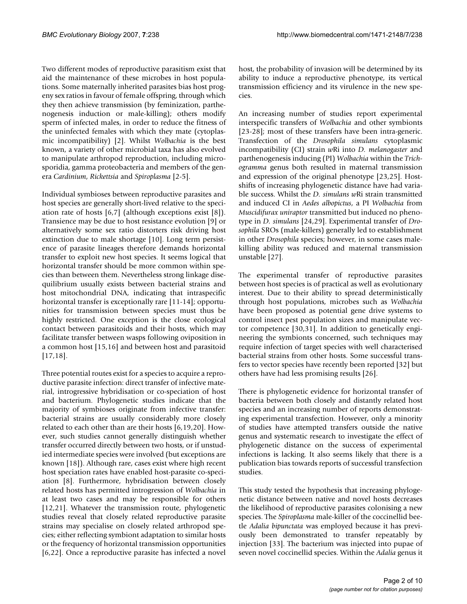Two different modes of reproductive parasitism exist that aid the maintenance of these microbes in host populations. Some maternally inherited parasites bias host progeny sex ratios in favour of female offspring, through which they then achieve transmission (by feminization, parthenogenesis induction or male-killing); others modify sperm of infected males, in order to reduce the fitness of the uninfected females with which they mate (cytoplasmic incompatibility) [2]. Whilst *Wolbachia* is the best known, a variety of other microbial taxa has also evolved to manipulate arthropod reproduction, including microsporidia, gamma proteobacteria and members of the genera *Cardinium*, *Rickettsia* and *Spiroplasma* [2-5].

Individual symbioses between reproductive parasites and host species are generally short-lived relative to the speciation rate of hosts [6,7] (although exceptions exist [8]). Transience may be due to host resistance evolution [9] or alternatively some sex ratio distorters risk driving host extinction due to male shortage [10]. Long term persistence of parasite lineages therefore demands horizontal transfer to exploit new host species. It seems logical that horizontal transfer should be more common within species than between them. Nevertheless strong linkage disequilibrium usually exists between bacterial strains and host mitochondrial DNA, indicating that intraspecific horizontal transfer is exceptionally rare [11-14]; opportunities for transmission between species must thus be highly restricted. One exception is the close ecological contact between parasitoids and their hosts, which may facilitate transfer between wasps following oviposition in a common host [15,16] and between host and parasitoid [17,18].

Three potential routes exist for a species to acquire a reproductive parasite infection: direct transfer of infective material, introgressive hybridisation or co-speciation of host and bacterium. Phylogenetic studies indicate that the majority of symbioses originate from infective transfer: bacterial strains are usually considerably more closely related to each other than are their hosts [6,19,20]. However, such studies cannot generally distinguish whether transfer occurred directly between two hosts, or if unstudied intermediate species were involved (but exceptions are known [18]). Although rare, cases exist where high recent host speciation rates have enabled host-parasite co-speciation [8]. Furthermore, hybridisation between closely related hosts has permitted introgression of *Wolbachia* in at least two cases and may be responsible for others [12,21]. Whatever the transmission route, phylogenetic studies reveal that closely related reproductive parasite strains may specialise on closely related arthropod species; either reflecting symbiont adaptation to similar hosts or the frequency of horizontal transmission opportunities [6,22]. Once a reproductive parasite has infected a novel

host, the probability of invasion will be determined by its ability to induce a reproductive phenotype, its vertical transmission efficiency and its virulence in the new species.

An increasing number of studies report experimental interspecific transfers of *Wolbachia* and other symbionts [23-28]; most of these transfers have been intra-generic. Transfection of the *Drosophila simulans* cytoplasmic incompatibility (CI) strain *w*Ri into *D. melanogaster* and parthenogenesis inducing (PI) *Wolbachia* within the *Trichogramma* genus both resulted in maternal transmission and expression of the original phenotype [23,25]. Hostshifts of increasing phylogenetic distance have had variable success. Whilst the *D. simulans w*Ri strain transmitted and induced CI in *Aedes albopictus*, a PI *Wolbachia* from *Muscidifurax uniraptor* transmitted but induced no phenotype in *D. simulans* [24,29]. Experimental transfer of *Drosophila* SROs (male-killers) generally led to establishment in other *Drosophila* species; however, in some cases malekilling ability was reduced and maternal transmission unstable [27].

The experimental transfer of reproductive parasites between host species is of practical as well as evolutionary interest. Due to their ability to spread deterministically through host populations, microbes such as *Wolbachia* have been proposed as potential gene drive systems to control insect pest population sizes and manipulate vector competence [30,31]. In addition to genetically engineering the symbionts concerned, such techniques may require infection of target species with well characterised bacterial strains from other hosts. Some successful transfers to vector species have recently been reported [32] but others have had less promising results [26].

There is phylogenetic evidence for horizontal transfer of bacteria between both closely and distantly related host species and an increasing number of reports demonstrating experimental transfection. However, only a minority of studies have attempted transfers outside the native genus and systematic research to investigate the effect of phylogenetic distance on the success of experimental infections is lacking. It also seems likely that there is a publication bias towards reports of successful transfection studies.

This study tested the hypothesis that increasing phylogenetic distance between native and novel hosts decreases the likelihood of reproductive parasites colonising a new species. The *Spiroplasma* male-killer of the coccinellid beetle *Adalia bipunctata* was employed because it has previously been demonstrated to transfer repeatably by injection [33]. The bacterium was injected into pupae of seven novel coccinellid species. Within the *Adalia* genus it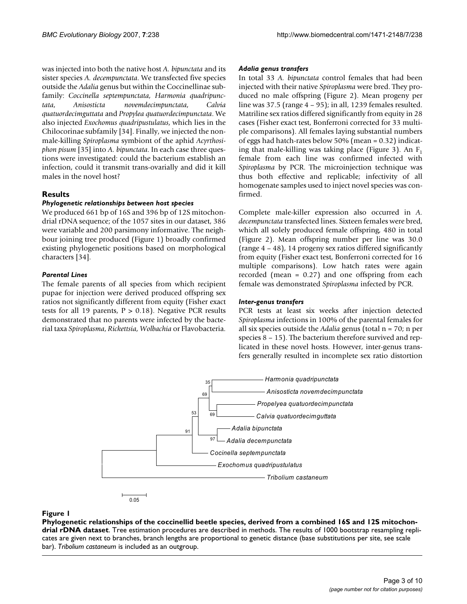was injected into both the native host *A. bipunctata* and its sister species *A. decempunctata*. We transfected five species outside the *Adalia* genus but within the Coccinellinae subfamily: *Coccinella septempunctata*, *Harmonia quadripunctata*, *Anisosticta novemdecimpunctata*, *Calvia quatuordecimguttata* and *Propylea quatuordecimpunctata*. We also injected *Exochomus quadripustulatus*, which lies in the Chilocorinae subfamily [34]. Finally, we injected the nonmale-killing *Spiroplasma* symbiont of the aphid *Acyrthosiphon pisum* [35] into *A. bipunctata*. In each case three questions were investigated: could the bacterium establish an infection, could it transmit trans-ovarially and did it kill males in the novel host?

### **Results**

### *Phylogenetic relationships between host species*

We produced 661 bp of 16S and 396 bp of 12S mitochondrial rDNA sequence; of the 1057 sites in our dataset, 386 were variable and 200 parsimony informative. The neighbour joining tree produced (Figure 1) broadly confirmed existing phylogenetic positions based on morphological characters [34].

#### *Parental Lines*

The female parents of all species from which recipient pupae for injection were derived produced offspring sex ratios not significantly different from equity (Fisher exact tests for all 19 parents,  $P > 0.18$ ). Negative PCR results demonstrated that no parents were infected by the bacterial taxa *Spiroplasma*, *Rickettsia*, *Wolbachia* or Flavobacteria.

#### *Adalia genus transfers*

In total 33 *A. bipunctata* control females that had been injected with their native *Spiroplasma* were bred. They produced no male offspring (Figure 2). Mean progeny per line was 37.5 (range 4 – 95); in all, 1239 females resulted. Matriline sex ratios differed significantly from equity in 28 cases (Fisher exact test, Bonferroni corrected for 33 multiple comparisons). All females laying substantial numbers of eggs had hatch-rates below 50% (mean = 0.32) indicating that male-killing was taking place (Figure 3). An  $F_1$ female from each line was confirmed infected with *Spiroplasma* by PCR. The microinjection technique was thus both effective and replicable; infectivity of all homogenate samples used to inject novel species was confirmed.

Complete male-killer expression also occurred in *A. decempunctata* transfected lines. Sixteen females were bred, which all solely produced female offspring, 480 in total (Figure 2). Mean offspring number per line was 30.0 (range 4 – 48), 14 progeny sex ratios differed significantly from equity (Fisher exact test, Bonferroni corrected for 16 multiple comparisons). Low hatch rates were again recorded (mean = 0.27) and one offspring from each female was demonstrated *Spiroplasma* infected by PCR.

#### *Inter-genus transfers*

PCR tests at least six weeks after injection detected *Spiroplasma* infections in 100% of the parental females for all six species outside the *Adalia* genus (total n = 70; n per species 8 – 15). The bacterium therefore survived and replicated in these novel hosts. However, inter-genus transfers generally resulted in incomplete sex ratio distortion



#### Phylogenetic relationships of th **Figure 1** e coccinellid beetle species, derived from a combined 16S and 12S mitochondrial rDNA dataset

**Phylogenetic relationships of the coccinellid beetle species, derived from a combined 16S and 12S mitochondrial rDNA dataset**. Tree estimation procedures are described in methods. The results of 1000 bootstrap resampling replicates are given next to branches, branch lengths are proportional to genetic distance (base substitutions per site, see scale bar). *Tribolium castaneum* is included as an outgroup.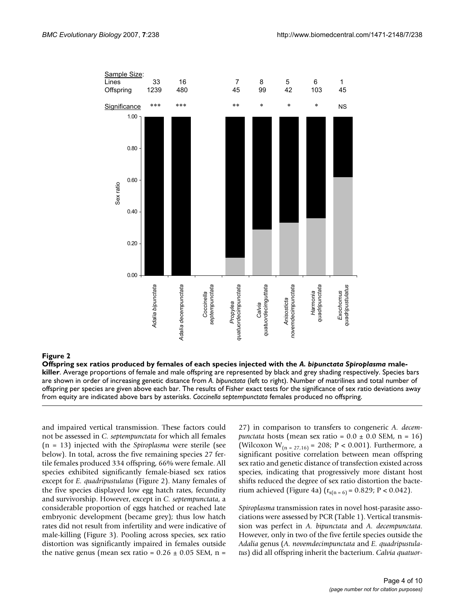

**Offspring sex ratios produced by females of each species injected with the** *A. bipunctata Spiroplasma* **malekiller**. Average proportions of female and male offspring are represented by black and grey shading respectively. Species bars are shown in order of increasing genetic distance from *A. bipunctata* (left to right). Number of matrilines and total number of offspring per species are given above each bar. The results of Fisher exact tests for the significance of sex ratio deviations away from equity are indicated above bars by asterisks. *Coccinella septempunctata* females produced no offspring.

and impaired vertical transmission. These factors could not be assessed in *C. septempunctata* for which all females (n = 13) injected with the *Spiroplasma* were sterile (see below). In total, across the five remaining species 27 fertile females produced 334 offspring, 66% were female. All species exhibited significantly female-biased sex ratios except for *E. quadripustulatus* (Figure 2). Many females of the five species displayed low egg hatch rates, fecundity and survivorship. However, except in *C. septempunctata*, a considerable proportion of eggs hatched or reached late embryonic development (became grey); thus low hatch rates did not result from infertility and were indicative of male-killing (Figure 3). Pooling across species, sex ratio distortion was significantly impaired in females outside the native genus (mean sex ratio =  $0.26 \pm 0.05$  SEM, n =

27) in comparison to transfers to congeneric *A. decempunctata* hosts (mean sex ratio =  $0.0 \pm 0.0$  SEM, n = 16) (Wilcoxon  $W_{(n = 27, 16)} = 208$ ; P < 0.001). Furthermore, a significant positive correlation between mean offspring sex ratio and genetic distance of transfection existed across species, indicating that progressively more distant host shifts reduced the degree of sex ratio distortion the bacterium achieved (Figure 4a)  $(r_{s(n = 6)} = 0.829; P < 0.042)$ .

*Spiroplasma* transmission rates in novel host-parasite associations were assessed by PCR (Table 1). Vertical transmission was perfect in *A. bipunctata* and *A. decempunctata*. However, only in two of the five fertile species outside the *Adalia* genus (*A. novemdecimpunctata* and *E. quadripustulatus*) did all offspring inherit the bacterium. *Calvia quatuor-*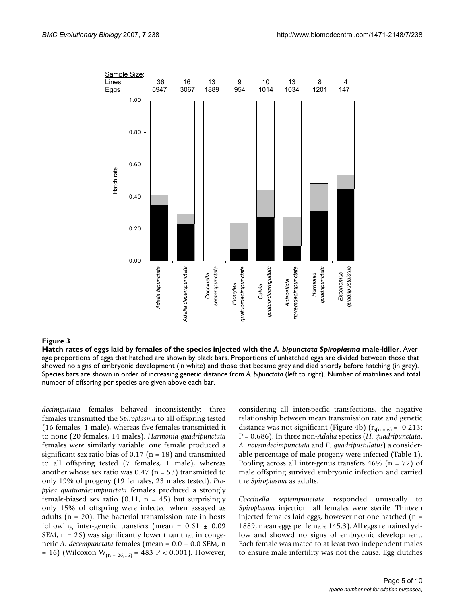

#### Hatch rates of eggs laid by fema **Figure 3** les of the species injected with the *A. bipunctata Spiroplasma* male-killer

**Hatch rates of eggs laid by females of the species injected with the** *A. bipunctata Spiroplasma* **male-killer**. Average proportions of eggs that hatched are shown by black bars. Proportions of unhatched eggs are divided between those that showed no signs of embryonic development (in white) and those that became grey and died shortly before hatching (in grey). Species bars are shown in order of increasing genetic distance from *A. bipunctata* (left to right). Number of matrilines and total number of offspring per species are given above each bar.

*decimguttata* females behaved inconsistently: three females transmitted the *Spiroplasma* to all offspring tested (16 females, 1 male), whereas five females transmitted it to none (20 females, 14 males). *Harmonia quadripunctata* females were similarly variable: one female produced a significant sex ratio bias of 0.17 ( $n = 18$ ) and transmitted to all offspring tested (7 females, 1 male), whereas another whose sex ratio was  $0.47$  (n = 53) transmitted to only 19% of progeny (19 females, 23 males tested). *Propylea quatuordecimpunctata* females produced a strongly female-biased sex ratio  $(0.11, n = 45)$  but surprisingly only 15% of offspring were infected when assayed as adults ( $n = 20$ ). The bacterial transmission rate in hosts following inter-generic transfers (mean =  $0.61 \pm 0.09$ SEM,  $n = 26$ ) was significantly lower than that in congeneric *A. decempunctata* females (mean = 0.0 ± 0.0 SEM, n = 16) (Wilcoxon W<sub>(n = 26,16)</sub> = 483 P < 0.001). However,

considering all interspecfic transfections, the negative relationship between mean transmission rate and genetic distance was not significant (Figure 4b)  $(r_{s(n = 6)} = -0.213)$ ; P = 0.686). In three non-*Adalia* species (*H. quadripunctata*, *A. novemdecimpunctata* and *E. quadripustulatus*) a considerable percentage of male progeny were infected (Table 1). Pooling across all inter-genus transfers  $46\%$  (n = 72) of male offspring survived embryonic infection and carried the *Spiroplasma* as adults.

*Coccinella septempunctata* responded unusually to *Spiroplasma* injection: all females were sterile. Thirteen injected females laid eggs, however not one hatched (n = 1889, mean eggs per female 145.3). All eggs remained yellow and showed no signs of embryonic development. Each female was mated to at least two independent males to ensure male infertility was not the cause. Egg clutches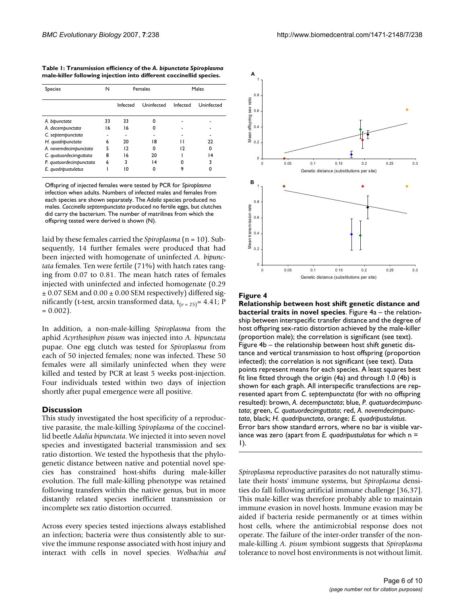**Table 1: Transmission efficiency of the** *A. bipunctata Spiroplasma*  **male-killer following injection into different coccinellid species.**

| <b>Species</b>          | N  | Females  |            | Males    |            |
|-------------------------|----|----------|------------|----------|------------|
|                         |    | Infected | Uninfected | Infected | Uninfected |
| A. bipunctata           | 33 | 33       | O          |          |            |
| A. decempunctata        | 16 | 16       |            |          |            |
| C. septempunctata       |    |          |            |          |            |
| H. quadripunctata       | 6  | 20       | 18         | ı ı      | 22         |
| A. novemdecimpunctata   | 5  | 12       |            | 12       | 0          |
| C. quatuordecimguttata  | 8  | 16       | 20         |          | 4          |
| P. quatuordecimpunctata | 6  | 3        | 4          | O        | 3          |
| E. quadripustulatus     |    | 10       |            | 9        | ŋ          |

Offspring of injected females were tested by PCR for *Spiroplasma*  infection when adults. Numbers of infected males and females from each species are shown separately. The *Adalia* species produced no males. *Coccinella septempunctata* produced no fertile eggs, but clutches did carry the bacterium. The number of matrilines from which the offspring tested were derived is shown (N).

laid by these females carried the *Spiroplasma* (n = 10). Subsequently, 14 further females were produced that had been injected with homogenate of uninfected *A. bipunctata* females. Ten were fertile (71%) with hatch rates ranging from 0.07 to 0.81. The mean hatch rates of females injected with uninfected and infected homogenate (0.29  $± 0.07$  SEM and  $0.00 ± 0.00$  SEM respectively) differed significantly (t-test, arcsin transformed data,  $t_{(\nu = 25)} = 4.41$ ; P  $= 0.002$ ).

In addition, a non-male-killing *Spiroplasma* from the aphid *Acyrthosiphon pisum* was injected into *A. bipunctata* pupae. One egg clutch was tested for *Spiroplasma* from each of 50 injected females; none was infected. These 50 females were all similarly uninfected when they were killed and tested by PCR at least 5 weeks post-injection. Four individuals tested within two days of injection shortly after pupal emergence were all positive.

#### **Discussion**

This study investigated the host specificity of a reproductive parasite, the male-killing *Spiroplasma* of the coccinellid beetle *Adalia bipunctata*. We injected it into seven novel species and investigated bacterial transmission and sex ratio distortion. We tested the hypothesis that the phylogenetic distance between native and potential novel species has constrained host-shifts during male-killer evolution. The full male-killing phenotype was retained following transfers within the native genus, but in more distantly related species inefficient transmission or incomplete sex ratio distortion occurred.

Across every species tested injections always established an infection; bacteria were thus consistently able to survive the immune response associated with host injury and interact with cells in novel species. *Wolbachia and*



#### **Figure 4**

**Relationship between host shift genetic distance and bacterial traits in novel species**. Figure 4a – the relationship between interspecific transfer distance and the degree of host offspring sex-ratio distortion achieved by the male-killer (proportion male); the correlation is significant (see text). Figure 4b – the relationship between host shift genetic distance and vertical transmission to host offspring (proportion infected); the correlation is not significant (see text). Data points represent means for each species. A least squares best fit line fitted through the origin (4a) and through 1.0 (4b) is shown for each graph. All interspecific transfections are represented apart from *C. septempunctata* (for with no offspring resulted): brown, *A. decempunctata*; blue, *P. quatuordecimpunctata*; green, *C. quatuordecimguttata*; red, *A. novemdecimpunctata*, black; *H. quadripunctata*, orange; *E. quadripustulatus*. Error bars show standard errors, where no bar is visible variance was zero (apart from *E. quadripustulatus* for which n = 1).

*Spiroplasma* reproductive parasites do not naturally stimulate their hosts' immune systems, but *Spiroplasma* densities do fall following artificial immune challenge [36,37]. This male-killer was therefore probably able to maintain immune evasion in novel hosts. Immune evasion may be aided if bacteria reside permanently or at times within host cells, where the antimicrobial response does not operate. The failure of the inter-order transfer of the nonmale-killing *A. pisum* symbiont suggests that *Spiroplasma* tolerance to novel host environments is not without limit.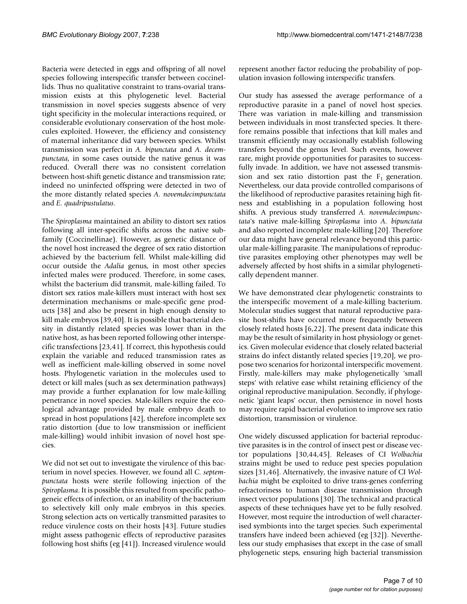Bacteria were detected in eggs and offspring of all novel species following interspecific transfer between coccinellids. Thus no qualitative constraint to trans-ovarial transmission exists at this phylogenetic level. Bacterial transmission in novel species suggests absence of very tight specificity in the molecular interactions required, or considerable evolutionary conservation of the host molecules exploited. However, the efficiency and consistency of maternal inheritance did vary between species. Whilst transmission was perfect in *A. bipunctata* and *A. decempunctata*, in some cases outside the native genus it was reduced. Overall there was no consistent correlation between host-shift genetic distance and transmission rate; indeed no uninfected offspring were detected in two of the more distantly related species *A. novemdecimpunctata* and *E. quadripustulatus*.

The *Spiroplasma* maintained an ability to distort sex ratios following all inter-specific shifts across the native subfamily (Coccinellinae). However, as genetic distance of the novel host increased the degree of sex ratio distortion achieved by the bacterium fell. Whilst male-killing did occur outside the *Adalia* genus, in most other species infected males were produced. Therefore, in some cases, whilst the bacterium did transmit, male-killing failed. To distort sex ratios male-killers must interact with host sex determination mechanisms or male-specific gene products [38] and also be present in high enough density to kill male embryos [39,40]. It is possible that bacterial density in distantly related species was lower than in the native host, as has been reported following other interspecific transfections [23,41]. If correct, this hypothesis could explain the variable and reduced transmission rates as well as inefficient male-killing observed in some novel hosts. Phylogenetic variation in the molecules used to detect or kill males (such as sex determination pathways) may provide a further explanation for low male-killing penetrance in novel species. Male-killers require the ecological advantage provided by male embryo death to spread in host populations [42], therefore incomplete sex ratio distortion (due to low transmission or inefficient male-killing) would inhibit invasion of novel host species.

We did not set out to investigate the virulence of this bacterium in novel species. However, we found all *C. septempunctata* hosts were sterile following injection of the *Spiroplasma*. It is possible this resulted from specific pathogeneic effects of infection, or an inability of the bacterium to selectively kill only male embryos in this species. Strong selection acts on vertically transmitted parasites to reduce virulence costs on their hosts [43]. Future studies might assess pathogenic effects of reproductive parasites following host shifts (eg [41]). Increased virulence would

represent another factor reducing the probability of population invasion following interspecific transfers.

Our study has assessed the average performance of a reproductive parasite in a panel of novel host species. There was variation in male-killing and transmission between individuals in most transfected species. It therefore remains possible that infections that kill males and transmit efficiently may occasionally establish following transfers beyond the genus level. Such events, however rare, might provide opportunities for parasites to successfully invade. In addition, we have not assessed transmission and sex ratio distortion past the  $F_1$  generation. Nevertheless, our data provide controlled comparisons of the likelihood of reproductive parasites retaining high fitness and establishing in a population following host shifts. A previous study transferred *A. novemdecimpunctata*'s native male-killing *Spiroplasma* into *A. bipunctata* and also reported incomplete male-killing [20]. Therefore our data might have general relevance beyond this particular male-killing parasite. The manipulations of reproductive parasites employing other phenotypes may well be adversely affected by host shifts in a similar phylogenetically dependent manner.

We have demonstrated clear phylogenetic constraints to the interspecific movement of a male-killing bacterium. Molecular studies suggest that natural reproductive parasite host-shifts have occurred more frequently between closely related hosts [6,22]. The present data indicate this may be the result of similarity in host physiology or genetics. Given molecular evidence that closely related bacterial strains do infect distantly related species [19,20], we propose two scenarios for horizontal interspecific movement. Firstly, male-killers may make phylogenetically 'small steps' with relative ease whilst retaining efficiency of the original reproductive manipulation. Secondly, if phylogenetic 'giant leaps' occur, then persistence in novel hosts may require rapid bacterial evolution to improve sex ratio distortion, transmission or virulence.

One widely discussed application for bacterial reproductive parasites is in the control of insect pest or disease vector populations [30,44,45]. Releases of CI *Wolbachia* strains might be used to reduce pest species population sizes [31,46]. Alternatively, the invasive nature of CI *Wolbachia* might be exploited to drive trans-genes conferring refractoriness to human disease transmission through insect vector populations [30]. The technical and practical aspects of these techniques have yet to be fully resolved. However, most require the introduction of well characterised symbionts into the target species. Such experimental transfers have indeed been achieved (eg [32]). Nevertheless our study emphasises that except in the case of small phylogenetic steps, ensuring high bacterial transmission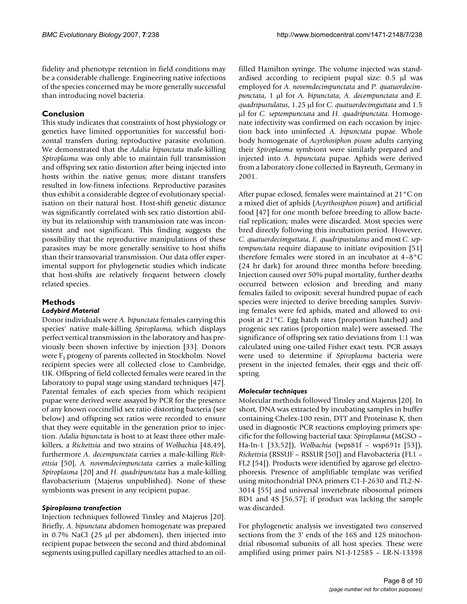fidelity and phenotype retention in field conditions may be a considerable challenge. Engineering native infections of the species concerned may be more generally successful than introducing novel bacteria.

### **Conclusion**

This study indicates that constraints of host physiology or genetics have limited opportunities for successful horizontal transfers during reproductive parasite evolution. We demonstrated that the *Adalia bipunctata* male-killing *Spiroplasma* was only able to maintain full transmission and offspring sex ratio distortion after being injected into hosts within the native genus; more distant transfers resulted in low-fitness infections. Reproductive parasites thus exhibit a considerable degree of evolutionary specialisation on their natural host. Host-shift genetic distance was significantly correlated with sex ratio distortion ability but its relationship with transmission rate was inconsistent and not significant. This finding suggests the possibility that the reproductive manipulations of these parasites may be more generally sensitive to host shifts than their transovarial transmission. Our data offer experimental support for phylogenetic studies which indicate that host-shifts are relatively frequent between closely related species.

#### **Methods** *Ladybird Material*

Donor individuals were *A. bipunctata* females carrying this species' native male-killing *Spiroplasma*, which displays perfect vertical transmission in the laboratory and has previously been shown infective by injection [33]. Donors were  $F_1$  progeny of parents collected in Stockholm. Novel recipient species were all collected close to Cambridge, UK. Offspring of field collected females were reared in the laboratory to pupal stage using standard techniques [47]. Parental females of each species from which recipient pupae were derived were assayed by PCR for the presence of any known coccinellid sex ratio distorting bacteria (see below) and offspring sex ratios were recorded to ensure that they were equitable in the generation prior to injection. *Adalia bipunctata* is host to at least three other malekillers, a *Rickettsia* and two strains of *Wolbachia* [48,49], furthermore *A. decempunctata* carries a male-killing *Rickettsia* [50], *A. novemdecimpunctata* carries a male-killing *Spiroplasma* [20] and *H. quadripunctata* has a male-killing flavobacterium (Majerus unpublished). None of these symbionts was present in any recipient pupae.

#### *Spiroplasma transfection*

Injection techniques followed Tinsley and Majerus [20]. Briefly, *A. bipunctata* abdomen homogenate was prepared in 0.7% NaCl (25 μl per abdomen), then injected into recipient pupae between the second and third abdominal segments using pulled capillary needles attached to an oilfilled Hamilton syringe. The volume injected was standardised according to recipient pupal size: 0.5 μl was employed for *A. novemdecimpunctata* and *P. quatuordecimpunctata*, 1 μl for *A. bipunctata*, *A. decempunctata* and *E. quadripustulatus*, 1.25 μl for *C. quatuordecimguttata* and 1.5 μl for *C. septempunctata* and *H. quadripunctata*. Homogenate infectivity was confirmed on each occasion by injection back into uninfected *A. bipunctata* pupae. Whole body homogenate of *Acyrthosiphon pisum* adults carrying their *Spiroplasma* symbiont were similarly prepared and injected into *A. bipunctata* pupae. Aphids were derived from a laboratory clone collected in Bayreuth, Germany in 2001.

After pupae eclosed, females were maintained at 21°C on a mixed diet of aphids (*Acyrthosiphon pisum*) and artificial food [47] for one month before breeding to allow bacterial replication; males were discarded. Most species were bred directly following this incubation period. However, *C. quatuordecimguttata*, *E. quadripustulatus* and most *C. septempunctata* require diapause to initiate oviposition [51] therefore females were stored in an incubator at 4–8°C (24 hr dark) for around three months before breeding. Injection caused over 50% pupal mortality, further deaths occurred between eclosion and breeding and many females failed to oviposit: several hundred pupae of each species were injected to derive breeding samples. Surviving females were fed aphids, mated and allowed to oviposit at 21°C. Egg hatch rates (proportion hatched) and progenic sex ratios (proportion male) were assessed. The significance of offspring sex ratio deviations from 1:1 was calculated using one-tailed Fisher exact tests. PCR assays were used to determine if *Spiroplasma* bacteria were present in the injected females, their eggs and their offspring.

#### *Molecular techniques*

Molecular methods followed Tinsley and Majerus [20]. In short, DNA was extracted by incubating samples in buffer containing Chelex-100 resin, DTT and Proteinase K, then used in diagnostic PCR reactions employing primers specific for the following bacterial taxa: *Spiroplasma* (MGSO – Ha-In-1 [33,52]), *Wolbachia* (wps81f – wsp691r [53]), *Rickettsia* (RSSUF – RSSUR [50]) and Flavobacteria (FL1 – FL2 [54]). Products were identified by agarose gel electrophoresis. Presence of amplifiable template was verified using mitochondrial DNA primers C1-J-2630 and TL2-N-3014 [55] and universal invertebrate ribosomal primers BD1 and 4S [56,57]; if product was lacking the sample was discarded.

For phylogenetic analysis we investigated two conserved sections from the 3' ends of the 16S and 12S mitochondrial ribosomal subunits of all host species. These were amplified using primer pairs N1-J-12585 – LR-N-13398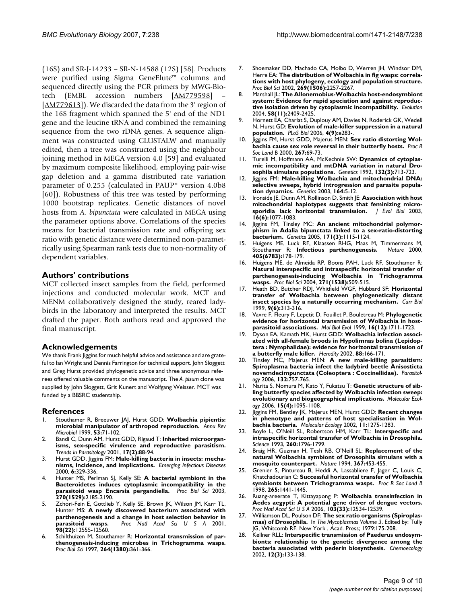(16S) and SR-J-14233 – SR-N-14588 (12S) [58]. Products were purified using Sigma GeneElute™ columns and sequenced directly using the PCR primers by MWG-Biotech (EMBL accession numbers [\[AM779598\]](http://www.ebi.ac.uk/cgi-bin/dbfetch?AM779598) – [[AM779613\]](http://www.ebi.ac.uk/cgi-bin/dbfetch?AM779613)). We discarded the data from the 3' region of the 16S fragment which spanned the 5' end of the ND1 gene and the leucine tRNA and combined the remaining sequence from the two rDNA genes. A sequence alignment was constructed using CLUSTALW and manually edited, then a tree was constructed using the neighbour joining method in MEGA version 4.0 [59] and evaluated by maximum composite likelihood, employing pair-wise gap deletion and a gamma distributed rate variation parameter of 0.255 (calculated in PAUP\* version 4.0b8 [60]). Robustness of this tree was tested by performing 1000 bootstrap replicates. Genetic distances of novel hosts from *A. bipunctata* were calculated in MEGA using the parameter options above. Correlations of the species means for bacterial transmission rate and offspring sex ratio with genetic distance were determined non-parametrically using Spearman rank tests due to non-normality of dependent variables.

#### **Authors' contributions**

MCT collected insect samples from the field, performed injections and conducted molecular work. MCT and MENM collaboratively designed the study, reared ladybirds in the laboratory and interpreted the results. MCT drafted the paper. Both authors read and approved the final manuscript.

#### **Acknowledgements**

We thank Frank Jiggins for much helpful advice and assistance and are grateful to Ian Wright and Dennis Farrington for technical support. John Sloggett and Greg Hurst provided phylogenetic advice and three anonymous referees offered valuable comments on the manuscript. The *A. pisum* clone was supplied by John Sloggett, Grit Kunert and Wolfgang Weisser. MCT was funded by a BBSRC studentship.

#### **References**

- 1. Stouthamer R, Breeuwer JAJ, Hurst GDD: **[Wolbachia pipientis:](http://www.ncbi.nlm.nih.gov/entrez/query.fcgi?cmd=Retrieve&db=PubMed&dopt=Abstract&list_uids=10547686) [microbial manipulator of arthropod reproduction.](http://www.ncbi.nlm.nih.gov/entrez/query.fcgi?cmd=Retrieve&db=PubMed&dopt=Abstract&list_uids=10547686)** *Annu Rev Microbiol* 1999, **53:**71-102.
- 2. Bandi C, Dunn AM, Hurst GDD, Rigaud T: **[Inherited microorgan](http://www.ncbi.nlm.nih.gov/entrez/query.fcgi?cmd=Retrieve&db=PubMed&dopt=Abstract&list_uids=11228015)[isms, sex-specific virulence and reproductive parasitism.](http://www.ncbi.nlm.nih.gov/entrez/query.fcgi?cmd=Retrieve&db=PubMed&dopt=Abstract&list_uids=11228015)** *Trends in Parasitology* 2001, **17(2):**88-94.
- Hurst GDD, Jiggins FM: **[Male-killing bacteria in insects: mecha](http://www.ncbi.nlm.nih.gov/entrez/query.fcgi?cmd=Retrieve&db=PubMed&dopt=Abstract&list_uids=10905965)[nisms, incidence, and implications.](http://www.ncbi.nlm.nih.gov/entrez/query.fcgi?cmd=Retrieve&db=PubMed&dopt=Abstract&list_uids=10905965)** *Emerging Infectious Diseases* 2000, **6:**329-336.
- 4. Hunter MS, Perlman SJ, Kelly SE: **[A bacterial symbiont in the](http://www.ncbi.nlm.nih.gov/entrez/query.fcgi?cmd=Retrieve&db=PubMed&dopt=Abstract&list_uids=14561283) [Bacteroidetes induces cytoplasmic incompatibility in the](http://www.ncbi.nlm.nih.gov/entrez/query.fcgi?cmd=Retrieve&db=PubMed&dopt=Abstract&list_uids=14561283) [parasitoid wasp Encarsia pergandiella.](http://www.ncbi.nlm.nih.gov/entrez/query.fcgi?cmd=Retrieve&db=PubMed&dopt=Abstract&list_uids=14561283)** *Proc Biol Sci* 2003, **270(1529):**2185-2190.
- 5. Zchori-Fein E, Gottlieb Y, Kelly SE, Brown JK, Wilson JM, Karr TL, Hunter MS: **[A newly discovered bacterium associated with](http://www.ncbi.nlm.nih.gov/entrez/query.fcgi?cmd=Retrieve&db=PubMed&dopt=Abstract&list_uids=11592990) [parthenogenesis and a change in host selection behavior in](http://www.ncbi.nlm.nih.gov/entrez/query.fcgi?cmd=Retrieve&db=PubMed&dopt=Abstract&list_uids=11592990)** Proc Natl Acad Sci U S A 2001, **parasitoid wasps.**<br>**98(22):**12555-12560.
- 6. Schilthuizen M, Stouthamer R: **[Horizontal transmission of par](http://www.ncbi.nlm.nih.gov/entrez/query.fcgi?cmd=Retrieve&db=PubMed&dopt=Abstract&list_uids=9107051)[thenogenesis-inducing microbes in Trichogramma wasps.](http://www.ncbi.nlm.nih.gov/entrez/query.fcgi?cmd=Retrieve&db=PubMed&dopt=Abstract&list_uids=9107051)** *Proc Biol Sci* 1997, **264(1380):**361-366.
- 7. Shoemaker DD, Machado CA, Molbo D, Werren JH, Windsor DM, Herre EA: **[The distribution of Wolbachia in fig wasps: correla](http://www.ncbi.nlm.nih.gov/entrez/query.fcgi?cmd=Retrieve&db=PubMed&dopt=Abstract&list_uids=12427319)[tions with host phylogeny, ecology and population structure.](http://www.ncbi.nlm.nih.gov/entrez/query.fcgi?cmd=Retrieve&db=PubMed&dopt=Abstract&list_uids=12427319)** *Proc Biol Sci* 2002, **269(1506):**2257-2267.
- 8. Marshall *IL*: [The Allonemobius-Wolbachia host-endosymbiont](http://www.ncbi.nlm.nih.gov/entrez/query.fcgi?cmd=Retrieve&db=PubMed&dopt=Abstract&list_uids=15612285) **[system: Evidence for rapid speciation and against reproduc](http://www.ncbi.nlm.nih.gov/entrez/query.fcgi?cmd=Retrieve&db=PubMed&dopt=Abstract&list_uids=15612285)[tive isolation driven by cytoplasmic incompatibility.](http://www.ncbi.nlm.nih.gov/entrez/query.fcgi?cmd=Retrieve&db=PubMed&dopt=Abstract&list_uids=15612285)** *Evolution* 2004, **58(11):**2409-2425.
- 9. Hornett EA, Charlat S, Duplouy AM, Davies N, Roderick GK, Wedell N, Hurst GD: **[Evolution of male-killer suppression in a natural](http://www.ncbi.nlm.nih.gov/entrez/query.fcgi?cmd=Retrieve&db=PubMed&dopt=Abstract&list_uids=16933972) [population.](http://www.ncbi.nlm.nih.gov/entrez/query.fcgi?cmd=Retrieve&db=PubMed&dopt=Abstract&list_uids=16933972)** *PLoS Biol* 2006, **4(9):**e283-.
- 10. Jiggins FM, Hurst GDD, Majerus MEN: **Sex ratio distorting Wolbachia cause sex role reversal in their butterfly hosts.** *Proc R Soc Lond B* 2000, **267:**69-73.
- 11. Turelli M, Hoffmann AA, McKechnie SW: **[Dynamics of cytoplas](http://www.ncbi.nlm.nih.gov/entrez/query.fcgi?cmd=Retrieve&db=PubMed&dopt=Abstract&list_uids=1468627)[mic incompatibility and mtDNA variation in natural Dro](http://www.ncbi.nlm.nih.gov/entrez/query.fcgi?cmd=Retrieve&db=PubMed&dopt=Abstract&list_uids=1468627)[sophila simulans populations.](http://www.ncbi.nlm.nih.gov/entrez/query.fcgi?cmd=Retrieve&db=PubMed&dopt=Abstract&list_uids=1468627)** *Genetics* 1992, **132(3):**713-723.
- 12. Jiggins FM: **[Male-killing Wolbachia and mitochondrial DNA:](http://www.ncbi.nlm.nih.gov/entrez/query.fcgi?cmd=Retrieve&db=PubMed&dopt=Abstract&list_uids=12750316) [selective sweeps, hybrid introgression and parasite popula](http://www.ncbi.nlm.nih.gov/entrez/query.fcgi?cmd=Retrieve&db=PubMed&dopt=Abstract&list_uids=12750316)[tion dynamics.](http://www.ncbi.nlm.nih.gov/entrez/query.fcgi?cmd=Retrieve&db=PubMed&dopt=Abstract&list_uids=12750316)** *Genetics* 2003, **164:**5-12.
- 13. Ironside JE, Dunn AM, Rollinson D, Smith JE: **[Association with host](http://www.ncbi.nlm.nih.gov/entrez/query.fcgi?cmd=Retrieve&db=PubMed&dopt=Abstract&list_uids=14640399) [mitochondrial haplotypes suggests that feminizing micro](http://www.ncbi.nlm.nih.gov/entrez/query.fcgi?cmd=Retrieve&db=PubMed&dopt=Abstract&list_uids=14640399)[sporidia lack horizontal transmission.](http://www.ncbi.nlm.nih.gov/entrez/query.fcgi?cmd=Retrieve&db=PubMed&dopt=Abstract&list_uids=14640399)** *J Evol Biol* 2003, **16(6):**1077-1083.
- 14. Jiggins FM, Tinsley MC: **[An ancient mitochondrial polymor](http://www.ncbi.nlm.nih.gov/entrez/query.fcgi?cmd=Retrieve&db=PubMed&dopt=Abstract&list_uids=16079227)[phism in Adalia bipunctata linked to a sex-ratio-distorting](http://www.ncbi.nlm.nih.gov/entrez/query.fcgi?cmd=Retrieve&db=PubMed&dopt=Abstract&list_uids=16079227) [bacterium.](http://www.ncbi.nlm.nih.gov/entrez/query.fcgi?cmd=Retrieve&db=PubMed&dopt=Abstract&list_uids=16079227)** *Genetics* 2005, **171(3):**1115-1124.
- 15. Huigens ME, Luck RF, Klaassen RHG, Maas M, Timmermans M, Stouthamer R: **[Infectious parthenogenesis.](http://www.ncbi.nlm.nih.gov/entrez/query.fcgi?cmd=Retrieve&db=PubMed&dopt=Abstract&list_uids=10821272)** *Nature* 2000, **405(6783):**178-179.
- 16. Huigens ME, de Almeida RP, Boons PAH, Luck RF, Stouthamer R: **[Natural interspecific and intraspecific horizontal transfer of](http://www.ncbi.nlm.nih.gov/entrez/query.fcgi?cmd=Retrieve&db=PubMed&dopt=Abstract&list_uids=15129961) parthenogenesis-inducing Wolbachia in Trichogramma [wasps.](http://www.ncbi.nlm.nih.gov/entrez/query.fcgi?cmd=Retrieve&db=PubMed&dopt=Abstract&list_uids=15129961)** *Proc Biol Sci* 2004, **271(1538):**509-515.
- 17. Heath BD, Butcher RDJ, Whitfield WGF, Hubbard SF: **[Horizontal](http://www.ncbi.nlm.nih.gov/entrez/query.fcgi?cmd=Retrieve&db=PubMed&dopt=Abstract&list_uids=10209097) [transfer of Wolbachia between phylogenetically distant](http://www.ncbi.nlm.nih.gov/entrez/query.fcgi?cmd=Retrieve&db=PubMed&dopt=Abstract&list_uids=10209097) [insect species by a naturally occurring mechanism.](http://www.ncbi.nlm.nih.gov/entrez/query.fcgi?cmd=Retrieve&db=PubMed&dopt=Abstract&list_uids=10209097)** *Curr Biol* 1999, **9(6):**313-316.
- 18. Vavre F, Fleury F, Lepetit D, Fouillet P, Bouletreau M: **[Phylogenetic](http://www.ncbi.nlm.nih.gov/entrez/query.fcgi?cmd=Retrieve&db=PubMed&dopt=Abstract&list_uids=10605113) [evidence for horizontal transmission of Wolbachia in host](http://www.ncbi.nlm.nih.gov/entrez/query.fcgi?cmd=Retrieve&db=PubMed&dopt=Abstract&list_uids=10605113)[parasitoid associations.](http://www.ncbi.nlm.nih.gov/entrez/query.fcgi?cmd=Retrieve&db=PubMed&dopt=Abstract&list_uids=10605113)** *Mol Biol Evol* 1999, **16(12):**1711-1723.
- 19. Dyson EA, Kamath MK, Hurst GDD: **[Wolbachia infection associ](http://www.ncbi.nlm.nih.gov/entrez/query.fcgi?cmd=Retrieve&db=PubMed&dopt=Abstract&list_uids=11920117)[ated with all-female broods in Hypolimnas bolina \(Lepidop](http://www.ncbi.nlm.nih.gov/entrez/query.fcgi?cmd=Retrieve&db=PubMed&dopt=Abstract&list_uids=11920117)tera : Nymphalidae): evidence for horizontal transmission of [a butterfly male killer.](http://www.ncbi.nlm.nih.gov/entrez/query.fcgi?cmd=Retrieve&db=PubMed&dopt=Abstract&list_uids=11920117)** *Heredity* 2002, **88:**166-171.
- 20. Tinsley MC, Majerus MEN: [A new male-killing parasitism:](http://www.ncbi.nlm.nih.gov/entrez/query.fcgi?cmd=Retrieve&db=PubMed&dopt=Abstract&list_uids=16454865) **[Spiroplasma bacteria infect the ladybird beetle Anisosticta](http://www.ncbi.nlm.nih.gov/entrez/query.fcgi?cmd=Retrieve&db=PubMed&dopt=Abstract&list_uids=16454865) [novemdecimpunctata \(Coleoptera : Coccinellidae\).](http://www.ncbi.nlm.nih.gov/entrez/query.fcgi?cmd=Retrieve&db=PubMed&dopt=Abstract&list_uids=16454865)** *Parasitology* 2006, **132:**757-765.
- 21. Narita S, Nomura M, Kato Y, Fukatsu T: **[Genetic structure of sib](http://www.ncbi.nlm.nih.gov/entrez/query.fcgi?cmd=Retrieve&db=PubMed&dopt=Abstract&list_uids=16599969)[ling butterfly species affected by Wolbachia infection sweep:](http://www.ncbi.nlm.nih.gov/entrez/query.fcgi?cmd=Retrieve&db=PubMed&dopt=Abstract&list_uids=16599969) [evolutionary and biogeographical implications.](http://www.ncbi.nlm.nih.gov/entrez/query.fcgi?cmd=Retrieve&db=PubMed&dopt=Abstract&list_uids=16599969)** *Molecular Ecology* 2006, **15(4):**1095-1108.
- 22. Jiggins FM, Bentley JK, Majerus MEN, Hurst GDD: **[Recent changes](http://www.ncbi.nlm.nih.gov/entrez/query.fcgi?cmd=Retrieve&db=PubMed&dopt=Abstract&list_uids=12144650) [in phenotype and patterns of host specialisation in Wol](http://www.ncbi.nlm.nih.gov/entrez/query.fcgi?cmd=Retrieve&db=PubMed&dopt=Abstract&list_uids=12144650)[bachia bacteria.](http://www.ncbi.nlm.nih.gov/entrez/query.fcgi?cmd=Retrieve&db=PubMed&dopt=Abstract&list_uids=12144650)** *Molecular Ecology* 2002, **11:**1275-1283.
- 23. Boyle L, O'Neill SL, Robertson HM, Karr TL: **[Interspecific and](http://www.ncbi.nlm.nih.gov/entrez/query.fcgi?cmd=Retrieve&db=PubMed&dopt=Abstract&list_uids=8511587) [intraspecific horizontal transfer of Wolbachia in Drosophila.](http://www.ncbi.nlm.nih.gov/entrez/query.fcgi?cmd=Retrieve&db=PubMed&dopt=Abstract&list_uids=8511587)** *Science* 1993, **260:**1796-1799.
- 24. Braig HR, Guzman H, Tesh RB, O'Neill SL: **[Replacement of the](http://www.ncbi.nlm.nih.gov/entrez/query.fcgi?cmd=Retrieve&db=PubMed&dopt=Abstract&list_uids=7906391) [natural Wolbachia symbiont of Drosophila simulans with a](http://www.ncbi.nlm.nih.gov/entrez/query.fcgi?cmd=Retrieve&db=PubMed&dopt=Abstract&list_uids=7906391) [mosquito counterpart.](http://www.ncbi.nlm.nih.gov/entrez/query.fcgi?cmd=Retrieve&db=PubMed&dopt=Abstract&list_uids=7906391)** *Nature* 1994, **367:**453-455.
- 25. Grenier S, Pintureau B, Heddi A, Lassabliere F, Jager C, Louis C, Khatchadourian C: **Successful horizontal transfer of Wolbachia symbionts between Trichogramma wasps.** *Proc R Soc Lond B* 1998, **265:**1441-1445.
- 26. Ruang-areerate T, Kittayapong P: **[Wolbachia transinfection in](http://www.ncbi.nlm.nih.gov/entrez/query.fcgi?cmd=Retrieve&db=PubMed&dopt=Abstract&list_uids=16895998) [Aedes aegypti: A potential gene driver of dengue vectors.](http://www.ncbi.nlm.nih.gov/entrez/query.fcgi?cmd=Retrieve&db=PubMed&dopt=Abstract&list_uids=16895998)** *Proc Natl Acad Sci U S A* 2006, **103(33):**12534-12539.
- 27. Williamson DL, Poulson DF: **The sex ratio organisms (Spiroplasmas) of Drosophila.** In *The Mycoplasmas Volume 3*. Edited by: Tully JG, Whitcomb RF. New York , Acad. Press; 1979:175-208.
- Kellner RLL: Interspecific transmission of Paederus endosym**bionts: relationship to the genetic divergence among the bacteria associated with pederin biosynthesis.** *Chemoecology* 2002, **12(3):**133-138.